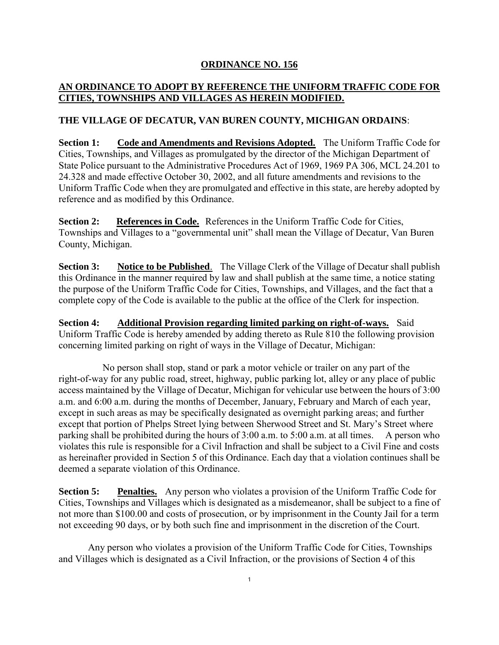## **ORDINANCE NO. 156**

## **AN ORDINANCE TO ADOPT BY REFERENCE THE UNIFORM TRAFFIC CODE FOR CITIES, TOWNSHIPS AND VILLAGES AS HEREIN MODIFIED.**

## **THE VILLAGE OF DECATUR, VAN BUREN COUNTY, MICHIGAN ORDAINS**:

**Section 1: Code and Amendments and Revisions Adopted.** The Uniform Traffic Code for Cities, Townships, and Villages as promulgated by the director of the Michigan Department of State Police pursuant to the Administrative Procedures Act of 1969, 1969 PA 306, MCL 24.201 to 24.328 and made effective October 30, 2002, and all future amendments and revisions to the Uniform Traffic Code when they are promulgated and effective in this state, are hereby adopted by reference and as modified by this Ordinance.

**Section 2: References in Code.** References in the Uniform Traffic Code for Cities, Townships and Villages to a "governmental unit" shall mean the Village of Decatur, Van Buren County, Michigan.

**Section 3:** Notice to be Published. The Village Clerk of the Village of Decatur shall publish this Ordinance in the manner required by law and shall publish at the same time, a notice stating the purpose of the Uniform Traffic Code for Cities, Townships, and Villages, and the fact that a complete copy of the Code is available to the public at the office of the Clerk for inspection.

**Section 4: Additional Provision regarding limited parking on right-of-ways.** Said Uniform Traffic Code is hereby amended by adding thereto as Rule 810 the following provision concerning limited parking on right of ways in the Village of Decatur, Michigan:

 No person shall stop, stand or park a motor vehicle or trailer on any part of the right-of-way for any public road, street, highway, public parking lot, alley or any place of public access maintained by the Village of Decatur, Michigan for vehicular use between the hours of 3:00 a.m. and 6:00 a.m. during the months of December, January, February and March of each year, except in such areas as may be specifically designated as overnight parking areas; and further except that portion of Phelps Street lying between Sherwood Street and St. Mary's Street where parking shall be prohibited during the hours of 3:00 a.m. to 5:00 a.m. at all times. A person who violates this rule is responsible for a Civil Infraction and shall be subject to a Civil Fine and costs as hereinafter provided in Section 5 of this Ordinance. Each day that a violation continues shall be deemed a separate violation of this Ordinance.

**Section 5: Penalties.** Any person who violates a provision of the Uniform Traffic Code for Cities, Townships and Villages which is designated as a misdemeanor, shall be subject to a fine of not more than \$100.00 and costs of prosecution, or by imprisonment in the County Jail for a term not exceeding 90 days, or by both such fine and imprisonment in the discretion of the Court.

Any person who violates a provision of the Uniform Traffic Code for Cities, Townships and Villages which is designated as a Civil Infraction, or the provisions of Section 4 of this